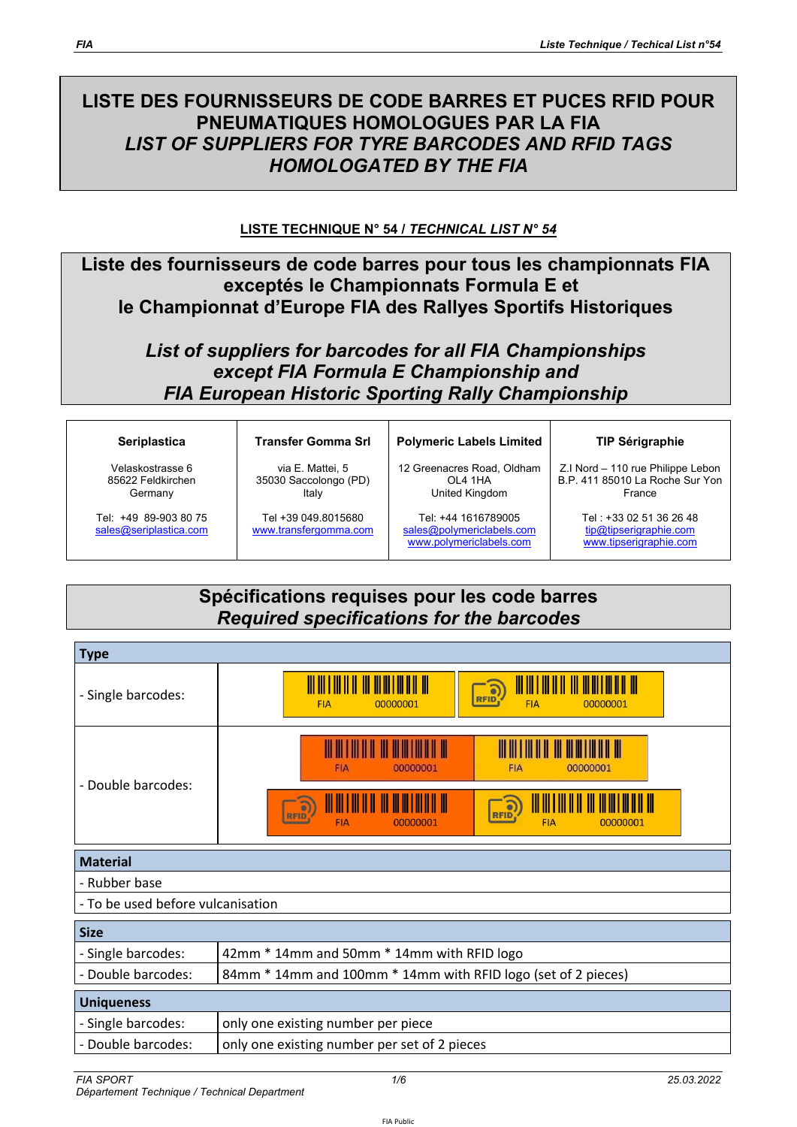# **LISTE DES FOURNISSEURS DE CODE BARRES ET PUCES RFID POUR PNEUMATIQUES HOMOLOGUES PAR LA FIA**  *LIST OF SUPPLIERS FOR TYRE BARCODES AND RFID TAGS HOMOLOGATED BY THE FIA*

#### **LISTE TECHNIQUE N° 54 /** *TECHNICAL LIST N° 54*

### **Liste des fournisseurs de code barres pour tous les championnats FIA exceptés le Championnats Formula E et le Championnat d'Europe FIA des Rallyes Sportifs Historiques**

## *List of suppliers for barcodes for all FIA Championships except FIA Formula E Championship and FIA European Historic Sporting Rally Championship*

| <b>Seriplastica</b> |
|---------------------|
|---------------------|

Velaskostrasse 6 85622 Feldkirchen **Germany** 

Tel: +49 89-903 80 75 sales@seriplastica.com **Transfer Gomma Srl** 

via E. Mattei, 5 35030 Saccolongo (PD) Italy

Tel +39 049.8015680 www.transfergomma.com 12 Greenacres Road, Oldham OL4 1HA United Kingdom

**Polymeric Labels Limited** 

Tel: +44 1616789005 sales@polymericlabels.com www.polymericlabels.com

**TIP Sérigraphie** 

Z.I Nord – 110 rue Philippe Lebon B.P. 411 85010 La Roche Sur Yon France

> Tel : +33 02 51 36 26 48 tip@tipserigraphie.com www.tipserigraphie.com

## **Spécifications requises pour les code barres**  *Required specifications for the barcodes*

| <b>Type</b>                       |                                                                                                                                                               |  |  |  |  |  |
|-----------------------------------|---------------------------------------------------------------------------------------------------------------------------------------------------------------|--|--|--|--|--|
| - Single barcodes:                | <u> III III III II</u><br><u>III III III III III</u><br>$\partial$<br><b>RFID</b><br>00000001<br><b>FIA</b><br>00000001<br><b>FIA</b>                         |  |  |  |  |  |
| - Double barcodes:                | <b>FIA</b><br>00000001<br><b>FIA</b><br>00000001<br>$\partial$<br>$\bullet$<br><b>RFID</b><br><b>RFID</b><br><b>FIA</b><br><b>FIA</b><br>00000001<br>00000001 |  |  |  |  |  |
| <b>Material</b>                   |                                                                                                                                                               |  |  |  |  |  |
| - Rubber base                     |                                                                                                                                                               |  |  |  |  |  |
| - To be used before vulcanisation |                                                                                                                                                               |  |  |  |  |  |
| <b>Size</b>                       |                                                                                                                                                               |  |  |  |  |  |
| - Single barcodes:                | 42mm * 14mm and 50mm * 14mm with RFID logo                                                                                                                    |  |  |  |  |  |
| - Double barcodes:                | 84mm * 14mm and 100mm * 14mm with RFID logo (set of 2 pieces)                                                                                                 |  |  |  |  |  |
| <b>Uniqueness</b>                 |                                                                                                                                                               |  |  |  |  |  |
| - Single barcodes:                | only one existing number per piece                                                                                                                            |  |  |  |  |  |
| - Double barcodes:                | only one existing number per set of 2 pieces                                                                                                                  |  |  |  |  |  |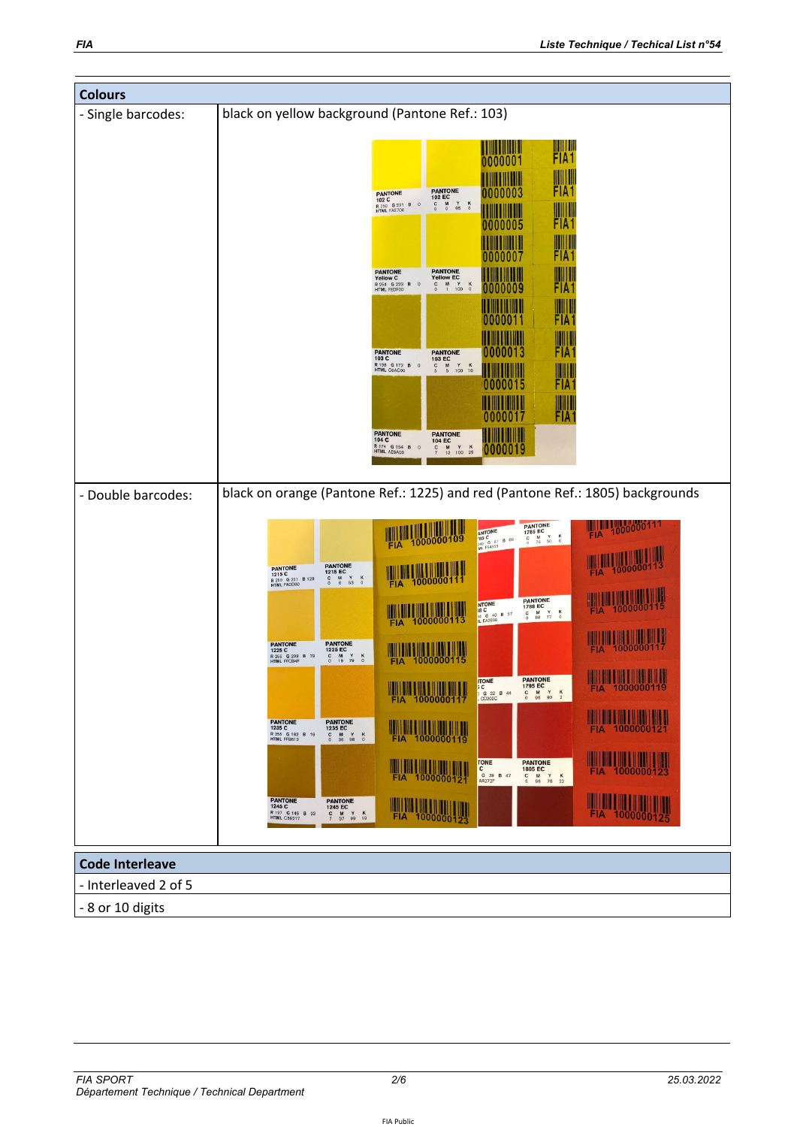| <b>Colours</b>                                 |                                                                                                                                                                                                                                                                                                                                                                                                                                                                                                                                                                                                                                                                                                                                                                                                                                                                                                                                                                                                                                                                                                                                                                                                                                                                                                                                                                                                                                                                                                                                                                                                                                                       |  |  |  |  |  |
|------------------------------------------------|-------------------------------------------------------------------------------------------------------------------------------------------------------------------------------------------------------------------------------------------------------------------------------------------------------------------------------------------------------------------------------------------------------------------------------------------------------------------------------------------------------------------------------------------------------------------------------------------------------------------------------------------------------------------------------------------------------------------------------------------------------------------------------------------------------------------------------------------------------------------------------------------------------------------------------------------------------------------------------------------------------------------------------------------------------------------------------------------------------------------------------------------------------------------------------------------------------------------------------------------------------------------------------------------------------------------------------------------------------------------------------------------------------------------------------------------------------------------------------------------------------------------------------------------------------------------------------------------------------------------------------------------------------|--|--|--|--|--|
| - Single barcodes:                             | black on yellow background (Pantone Ref.: 103)                                                                                                                                                                                                                                                                                                                                                                                                                                                                                                                                                                                                                                                                                                                                                                                                                                                                                                                                                                                                                                                                                                                                                                                                                                                                                                                                                                                                                                                                                                                                                                                                        |  |  |  |  |  |
|                                                | FIA1<br>Ш<br>0000001<br>WIIII<br>FIA <sub>1</sub><br>PANTONE<br>102 EC<br>0000003<br><b>PANTONE</b><br>102 C<br>$_{\rm 0}^{\rm M}$<br>$\begin{array}{cc} \mathsf{Y} & \mathsf{K} \\ \mathsf{95} & 0 \end{array}$<br>$_{\rm o}^{\rm c}$<br>R 250 G 231 B<br>$\overline{0}$<br>WIII<br>FIA <sub>1</sub><br>0000005<br>ШШ<br>FIA <sub>1</sub><br>0000007<br><b>PANTONE</b><br>Yellow EC<br><b>PANTONE</b><br>ЩЩ<br>Yellow C<br>$C$ M Y K<br>0 1 100 0<br>R 254 G 223 B<br>HTML FEDF00<br>$\circ$<br>FIA <sub>1</sub><br>0000009<br>FIA <sub>1</sub><br>0000011<br>WIII<br>FIA <sub>1</sub><br>0000013<br>PANTONE<br>103 C<br><b>PANTONE</b><br>103 EC<br>R 198 G 172 B<br>HTML C6AC00<br>$\frac{C}{5}$<br>$\begin{array}{ccc}\nM & Y & K \\ 5 & 100 & 16\n\end{array}$<br>$\circ$<br>FIA <sub>1</sub><br>0000015<br><b>FIA1</b><br>0000017<br><b>PANTONE</b><br><b>PANTONE</b><br>Ш<br>104C<br>104 EC<br><b>R</b> 174 G 154 B<br>$M$ Y K<br>13 100 29<br>$\circ$<br>0000019<br>$\frac{c}{7}$                                                                                                                                                                                                                                                                                                                                                                                                                                                                                                                                                                                                                                                             |  |  |  |  |  |
| - Double barcodes:                             | black on orange (Pantone Ref.: 1225) and red (Pantone Ref.: 1805) backgrounds                                                                                                                                                                                                                                                                                                                                                                                                                                                                                                                                                                                                                                                                                                                                                                                                                                                                                                                                                                                                                                                                                                                                                                                                                                                                                                                                                                                                                                                                                                                                                                         |  |  |  |  |  |
|                                                | FIA 1000000111<br><b>PANTONE</b><br><b>AM 4000000109</b><br><b>ANTONE</b><br>185 C<br>145 G 67 B 89<br>ML F54359<br>1785 EC<br>FIA<br>$\begin{array}{cc}\nM & Y \\ 76 & 50\n\end{array}$<br>$\frac{\kappa}{2}$<br>$\rm ^c$<br>1000000113<br><b>PANTONE</b><br>PANTONE<br>1215 C<br>$\frac{1}{10000000111}$<br>1215 EC<br><b>FIA</b><br>$\begin{array}{ccccc}\nM & Y & K \\ 6 & 53 & 0\n\end{array}$<br>$\int_{0}^{c}$<br>R 250 G 221 B 128<br><b>FIA</b><br><b>FIA</b> 1000000115<br><b>PANTONE</b><br>NTONE<br>1788 EC<br>FIA 1000000113<br><b>FIA</b><br>$C$ M $Y$ K<br>0 88 77 0<br><b>14 G 40 B 57</b><br>IL EA2839<br><b>FIA 1000000117</b><br><b>PANTONE</b><br>1225 EC<br><b>PANTONE</b><br>1225 C<br>R 255 G 203 B 79<br>$\begin{array}{ccccc}\nM & Y & K \\ 19 & 79 & 0\n\end{array}$<br>$\rm ^c$<br>FIA 1000000115<br><b>THE MANUSCRIPS</b><br><b>PANTONE</b><br><b>TONE</b><br><b>MARITAL AND AND ALL PROPERTY</b><br>1795 EC<br>5 C<br>$\begin{array}{ccc}\nC & M & Y \\ O & 96 & 90\n\end{array}$<br>$\frac{\kappa}{2}$<br>G 32 B 44<br>PANTONE<br>1235 EC<br>PANTONE<br>1235 C<br><b>FIA</b> 1000000119<br>FIA 1000000121<br>R 255 G 182 B 18<br>HTML FFB612<br>$\begin{array}{ccc}\nC & M & Y \\ 0 & 36 & 98\n\end{array}$<br>$\frac{\kappa}{0}$<br><u> III de la provincia de la provincia de la p</u><br><b>TONE</b><br><b>PANTONE</b><br><b>FIA</b> 1000000121<br>$\mathsf{c}$<br>1805 EC<br>FIA 1000000123<br>G 39 B 47<br>M Y K<br>96 76 22<br>$\frac{C}{5}$<br>AA272F<br>PANTONE<br>1245 C<br><b>PANTONE</b><br><b>THA 1000000123</b><br>FIA 1000000125<br>1245 EC<br>R 197 G 146 B 23<br>HTML C59217<br>$C$ M Y K<br>7 37 99 19 |  |  |  |  |  |
| <b>Code Interleave</b><br>- Interleaved 2 of 5 |                                                                                                                                                                                                                                                                                                                                                                                                                                                                                                                                                                                                                                                                                                                                                                                                                                                                                                                                                                                                                                                                                                                                                                                                                                                                                                                                                                                                                                                                                                                                                                                                                                                       |  |  |  |  |  |
| - 8 or 10 digits                               |                                                                                                                                                                                                                                                                                                                                                                                                                                                                                                                                                                                                                                                                                                                                                                                                                                                                                                                                                                                                                                                                                                                                                                                                                                                                                                                                                                                                                                                                                                                                                                                                                                                       |  |  |  |  |  |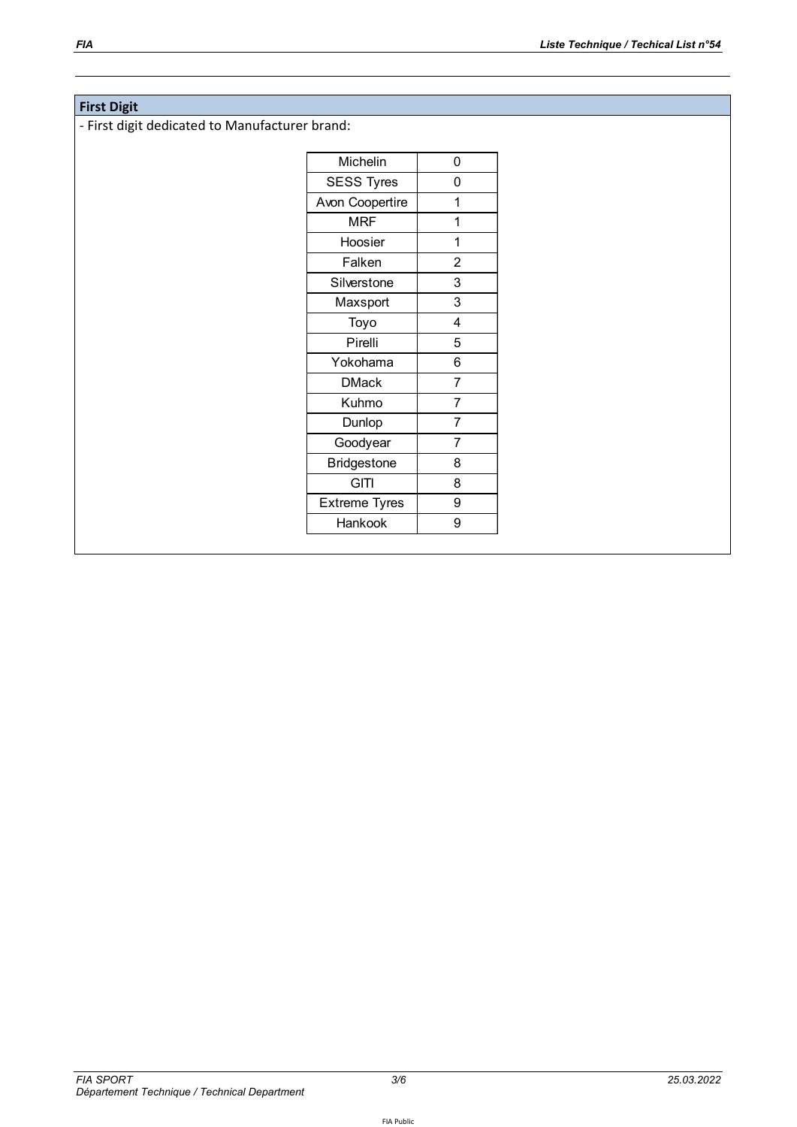#### **First Digit**

‐ First digit dedicated to Manufacturer brand:

| Michelin             | 0              |
|----------------------|----------------|
| <b>SESS Tyres</b>    | 0              |
| Avon Coopertire      | 1              |
| <b>MRF</b>           | 1              |
| Hoosier              | 1              |
| Falken               | $\overline{2}$ |
| Silverstone          | 3              |
| Maxsport             | 3              |
| Toyo                 | 4              |
| Pirelli              | 5              |
| Yokohama             | 6              |
| <b>DMack</b>         | $\overline{7}$ |
| Kuhmo                | $\overline{7}$ |
| Dunlop               | 7              |
| Goodyear             | 7              |
| <b>Bridgestone</b>   | 8              |
| <b>GITI</b>          | 8              |
| <b>Extreme Tyres</b> | 9              |
| Hankook              | 9              |
|                      |                |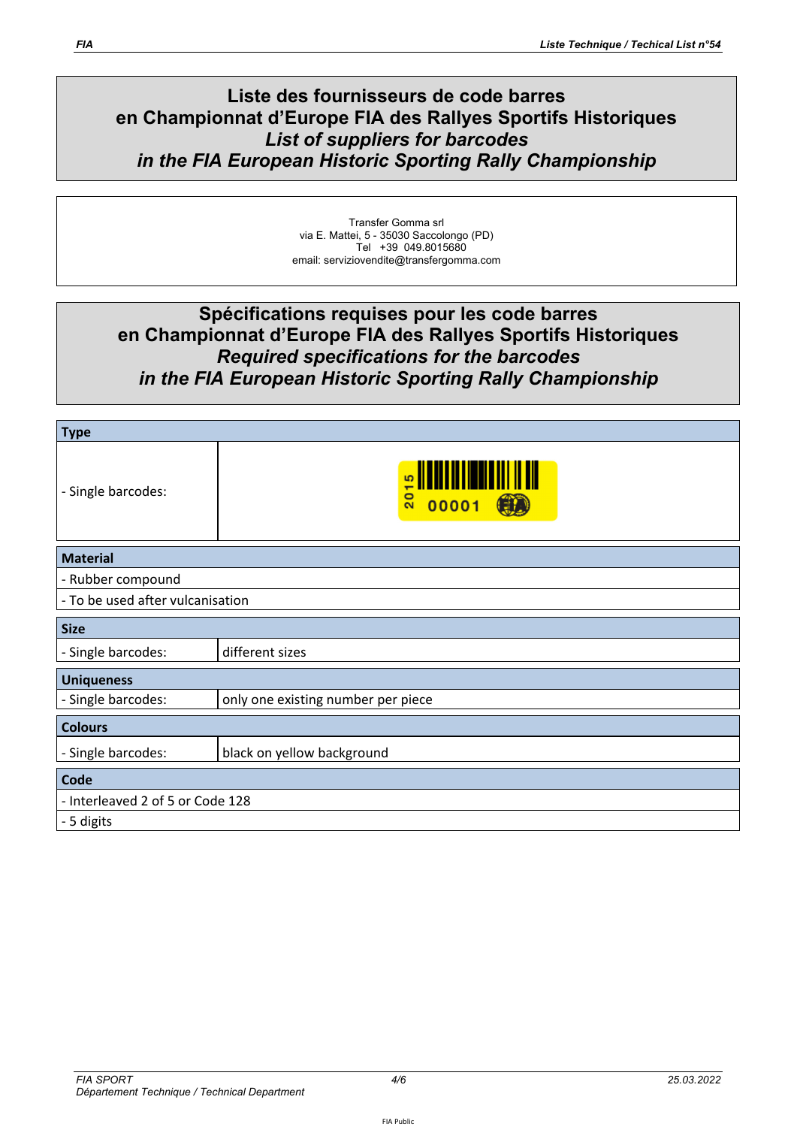## **Liste des fournisseurs de code barres en Championnat d'Europe FIA des Rallyes Sportifs Historiques**  *List of suppliers for barcodes in the FIA European Historic Sporting Rally Championship*

Transfer Gomma srl via E. Mattei, 5 - 35030 Saccolongo (PD) Tel +39 049.8015680 email: serviziovendite@transfergomma.com

# **Spécifications requises pour les code barres en Championnat d'Europe FIA des Rallyes Sportifs Historiques**  *Required specifications for the barcodes in the FIA European Historic Sporting Rally Championship*

| <b>Type</b>                      |                                    |  |  |  |  |
|----------------------------------|------------------------------------|--|--|--|--|
| - Single barcodes:               | s<br>$\overline{20}$<br>00001      |  |  |  |  |
| <b>Material</b>                  |                                    |  |  |  |  |
| - Rubber compound                |                                    |  |  |  |  |
| - To be used after vulcanisation |                                    |  |  |  |  |
| <b>Size</b>                      |                                    |  |  |  |  |
| - Single barcodes:               | different sizes                    |  |  |  |  |
| <b>Uniqueness</b>                |                                    |  |  |  |  |
| - Single barcodes:               | only one existing number per piece |  |  |  |  |
| <b>Colours</b>                   |                                    |  |  |  |  |
| - Single barcodes:               | black on yellow background         |  |  |  |  |
| Code                             |                                    |  |  |  |  |
| - Interleaved 2 of 5 or Code 128 |                                    |  |  |  |  |
| - 5 digits                       |                                    |  |  |  |  |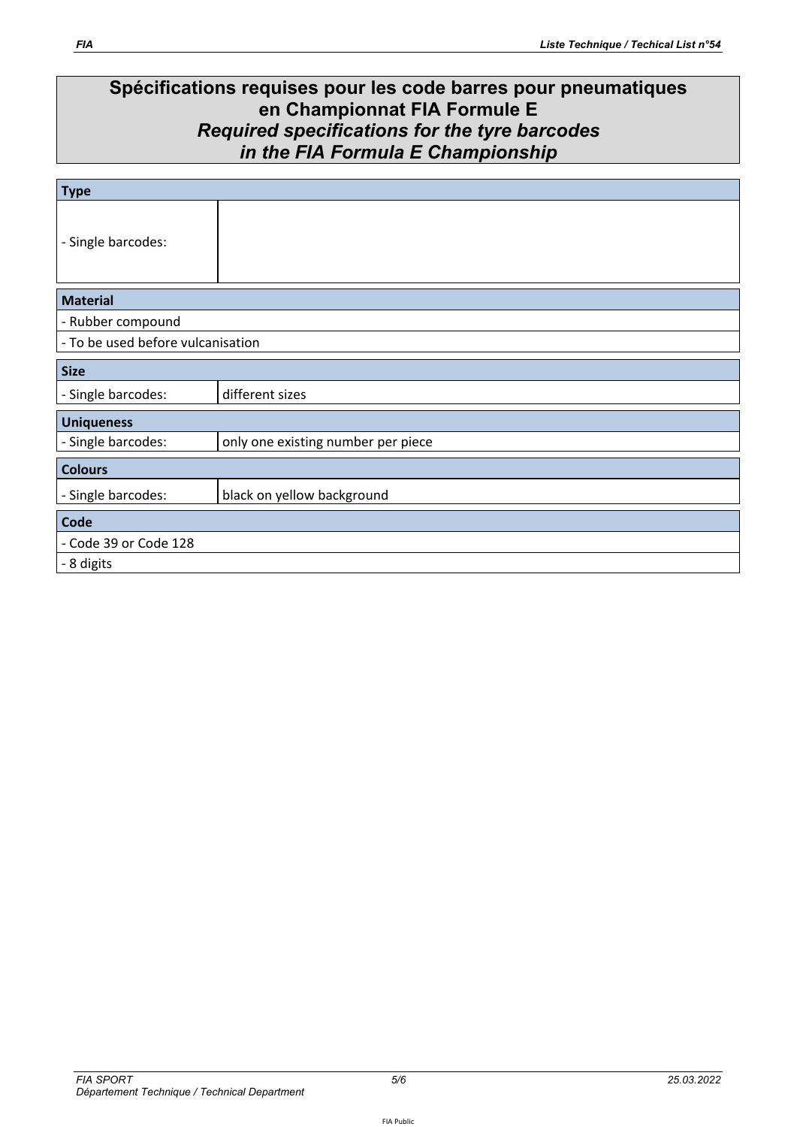# **Spécifications requises pour les code barres pour pneumatiques en Championnat FIA Formule E**  *Required specifications for the tyre barcodes in the FIA Formula E Championship*

| <b>Type</b>                       |                                    |  |  |  |  |
|-----------------------------------|------------------------------------|--|--|--|--|
| - Single barcodes:                |                                    |  |  |  |  |
| <b>Material</b>                   |                                    |  |  |  |  |
| - Rubber compound                 |                                    |  |  |  |  |
| - To be used before vulcanisation |                                    |  |  |  |  |
| <b>Size</b>                       |                                    |  |  |  |  |
| - Single barcodes:                | different sizes                    |  |  |  |  |
| <b>Uniqueness</b>                 |                                    |  |  |  |  |
| - Single barcodes:                | only one existing number per piece |  |  |  |  |
| <b>Colours</b>                    |                                    |  |  |  |  |
| - Single barcodes:                | black on yellow background         |  |  |  |  |
| <b>Code</b>                       |                                    |  |  |  |  |
| - Code 39 or Code 128             |                                    |  |  |  |  |
| - 8 digits                        |                                    |  |  |  |  |